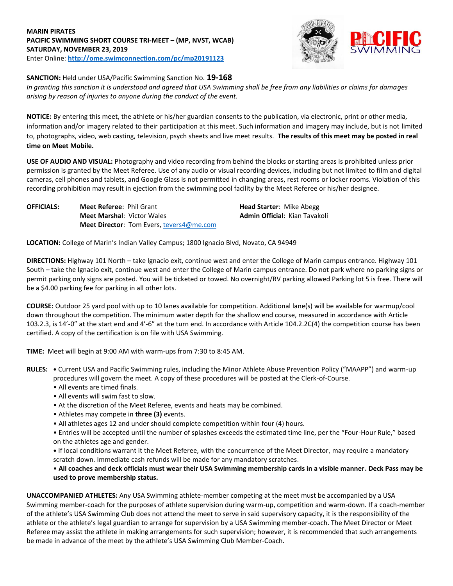## **MARIN PIRATES PACIFIC SWIMMING SHORT COURSE TRI-MEET – (MP, NVST, WCAB) SATURDAY, NOVEMBER 23, 2019** Enter Online: **http://ome.swimconnection.com/pc/mp20191123**



## **SANCTION:** Held under USA/Pacific Swimming Sanction No. **19-168**

*In granting this sanction it is understood and agreed that USA Swimming shall be free from any liabilities or claims for damages arising by reason of injuries to anyone during the conduct of the event.* 

**NOTICE:** By entering this meet, the athlete or his/her guardian consents to the publication, via electronic, print or other media, information and/or imagery related to their participation at this meet. Such information and imagery may include, but is not limited to, photographs, video, web casting, television, psych sheets and live meet results. **The results of this meet may be posted in real time on Meet Mobile.** 

**USE OF AUDIO AND VISUAL:** Photography and video recording from behind the blocks or starting areas is prohibited unless prior permission is granted by the Meet Referee. Use of any audio or visual recording devices, including but not limited to film and digital cameras, cell phones and tablets, and Google Glass is not permitted in changing areas, rest rooms or locker rooms. Violation of this recording prohibition may result in ejection from the swimming pool facility by the Meet Referee or his/her designee.

**OFFICIALS:** Meet Referee: Phil Grant **Head Starter:** Mike Abegg **Meet Marshal**: Victor Wales **Admin Official: Kian Tavakoli Meet Director**: Tom Evers[, tevers4@me.com](mailto:tevers4@me.com)

**LOCATION:** College of Marin's Indian Valley Campus; 1800 Ignacio Blvd, Novato, CA 94949

**DIRECTIONS:** Highway 101 North – take Ignacio exit, continue west and enter the College of Marin campus entrance. Highway 101 South – take the Ignacio exit, continue west and enter the College of Marin campus entrance. Do not park where no parking signs or permit parking only signs are posted. You will be ticketed or towed. No overnight/RV parking allowed Parking lot 5 is free. There will be a \$4.00 parking fee for parking in all other lots.

**COURSE:** Outdoor 25 yard pool with up to 10 lanes available for competition. Additional lane(s) will be available for warmup/cool down throughout the competition. The minimum water depth for the shallow end course, measured in accordance with Article 103.2.3, is 14'-0" at the start end and 4'-6" at the turn end. In accordance with Article 104.2.2C(4) the competition course has been certified. A copy of the certification is on file with USA Swimming.

**TIME:** Meet will begin at 9:00 AM with warm-ups from 7:30 to 8:45 AM.

**RULES: •** Current USA and Pacific Swimming rules, including the Minor Athlete Abuse Prevention Policy ("MAAPP") and warm-up procedures will govern the meet. A copy of these procedures will be posted at the Clerk-of-Course.

- All events are timed finals.
- All events will swim fast to slow.
- At the discretion of the Meet Referee, events and heats may be combined.
- Athletes may compete in **three (3)** events.
- All athletes ages 12 and under should complete competition within four (4) hours.
- Entries will be accepted until the number of splashes exceeds the estimated time line, per the "Four-Hour Rule," based on the athletes age and gender.

**•** If local conditions warrant it the Meet Referee, with the concurrence of the Meet Director, may require a mandatory scratch down. Immediate cash refunds will be made for any mandatory scratches.

# • **All coaches and deck officials must wear their USA Swimming membership cards in a visible manner. Deck Pass may be used to prove membership status.**

**UNACCOMPANIED ATHLETES:** Any USA Swimming athlete-member competing at the meet must be accompanied by a USA Swimming member-coach for the purposes of athlete supervision during warm-up, competition and warm-down. If a coach-member of the athlete's USA Swimming Club does not attend the meet to serve in said supervisory capacity, it is the responsibility of the athlete or the athlete's legal guardian to arrange for supervision by a USA Swimming member-coach. The Meet Director or Meet Referee may assist the athlete in making arrangements for such supervision; however, it is recommended that such arrangements be made in advance of the meet by the athlete's USA Swimming Club Member-Coach.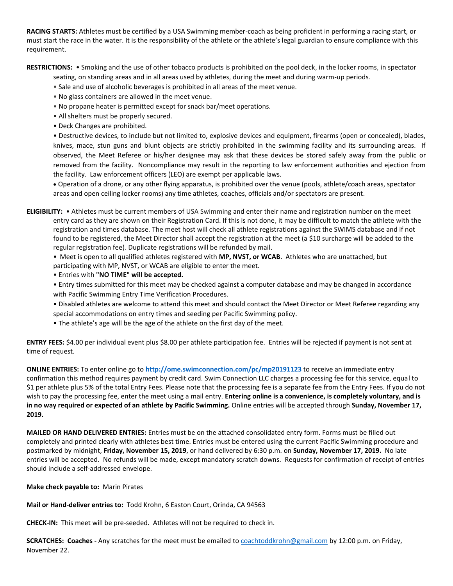**RACING STARTS:** Athletes must be certified by a USA Swimming member-coach as being proficient in performing a racing start, or must start the race in the water. It is the responsibility of the athlete or the athlete's legal guardian to ensure compliance with this requirement.

**RESTRICTIONS:** • Smoking and the use of other tobacco products is prohibited on the pool deck, in the locker rooms, in spectator

- seating, on standing areas and in all areas used by athletes, during the meet and during warm-up periods.
- Sale and use of alcoholic beverages is prohibited in all areas of the meet venue.
- No glass containers are allowed in the meet venue.
- No propane heater is permitted except for snack bar/meet operations.
- All shelters must be properly secured.
- Deck Changes are prohibited.

• Destructive devices, to include but not limited to, explosive devices and equipment, firearms (open or concealed), blades, knives, mace, stun guns and blunt objects are strictly prohibited in the swimming facility and its surrounding areas. If observed, the Meet Referee or his/her designee may ask that these devices be stored safely away from the public or removed from the facility. Noncompliance may result in the reporting to law enforcement authorities and ejection from the facility. Law enforcement officers (LEO) are exempt per applicable laws.

 Operation of a drone, or any other flying apparatus, is prohibited over the venue (pools, athlete/coach areas, spectator areas and open ceiling locker rooms) any time athletes, coaches, officials and/or spectators are present.

**ELIGIBILITY:** • Athletes must be current members of USA Swimming and enter their name and registration number on the meet entry card as they are shown on their Registration Card. If this is not done, it may be difficult to match the athlete with the registration and times database. The meet host will check all athlete registrations against the SWIMS database and if not found to be registered, the Meet Director shall accept the registration at the meet (a \$10 surcharge will be added to the regular registration fee). Duplicate registrations will be refunded by mail.

• Meet is open to all qualified athletes registered with **MP, NVST, or WCAB**. Athletes who are unattached, but participating with MP, NVST, or WCAB are eligible to enter the meet.

• Entries with **"NO TIME" will be accepted.**

- Entry times submitted for this meet may be checked against a computer database and may be changed in accordance with Pacific Swimming Entry Time Verification Procedures.
- Disabled athletes are welcome to attend this meet and should contact the Meet Director or Meet Referee regarding any special accommodations on entry times and seeding per Pacific Swimming policy.
- The athlete's age will be the age of the athlete on the first day of the meet.

**ENTRY FEES:** \$4.00 per individual event plus \$8.00 per athlete participation fee. Entries will be rejected if payment is not sent at time of request.

**ONLINE ENTRIES:** To enter online go to **http://ome.swimconnection.com/pc/mp20191123** to receive an immediate entry confirmation this method requires payment by credit card. Swim Connection LLC charges a processing fee for this service, equal to \$1 per athlete plus 5% of the total Entry Fees. Please note that the processing fee is a separate fee from the Entry Fees. If you do not wish to pay the processing fee, enter the meet using a mail entry. **Entering online is a convenience, is completely voluntary, and is in no way required or expected of an athlete by Pacific Swimming.** Online entries will be accepted through **Sunday, November 17, 2019.** 

**MAILED OR HAND DELIVERED ENTRIES:** Entries must be on the attached consolidated entry form. Forms must be filled out completely and printed clearly with athletes best time. Entries must be entered using the current Pacific Swimming procedure and postmarked by midnight, **Friday, November 15, 2019**, or hand delivered by 6:30 p.m. on **Sunday, November 17, 2019.** No late entries will be accepted. No refunds will be made, except mandatory scratch downs. Requests for confirmation of receipt of entries should include a self-addressed envelope.

**Make check payable to:** Marin Pirates

**Mail or Hand-deliver entries to:** Todd Krohn, 6 Easton Court, Orinda, CA 94563

**CHECK-IN:** This meet will be pre-seeded. Athletes will not be required to check in.

**SCRATCHES: Coaches -** Any scratches for the meet must be emailed t[o coachtoddkrohn@gmail.com](mailto:coachtoddkrohn@gmail.com) by 12:00 p.m. on Friday, November 22.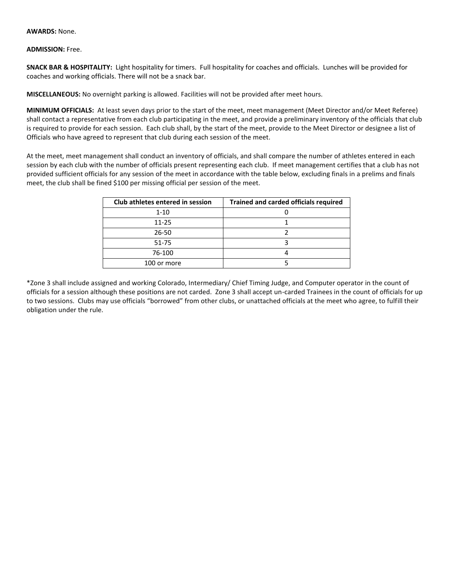#### **AWARDS:** None.

### **ADMISSION:** Free.

**SNACK BAR & HOSPITALITY:** Light hospitality for timers. Full hospitality for coaches and officials. Lunches will be provided for coaches and working officials. There will not be a snack bar.

**MISCELLANEOUS:** No overnight parking is allowed. Facilities will not be provided after meet hours.

**MINIMUM OFFICIALS:** At least seven days prior to the start of the meet, meet management (Meet Director and/or Meet Referee) shall contact a representative from each club participating in the meet, and provide a preliminary inventory of the officials that club is required to provide for each session. Each club shall, by the start of the meet, provide to the Meet Director or designee a list of Officials who have agreed to represent that club during each session of the meet.

At the meet, meet management shall conduct an inventory of officials, and shall compare the number of athletes entered in each session by each club with the number of officials present representing each club. If meet management certifies that a club has not provided sufficient officials for any session of the meet in accordance with the table below, excluding finals in a prelims and finals meet, the club shall be fined \$100 per missing official per session of the meet.

| Club athletes entered in session | <b>Trained and carded officials required</b> |  |  |
|----------------------------------|----------------------------------------------|--|--|
| $1 - 10$                         |                                              |  |  |
| $11 - 25$                        |                                              |  |  |
| 26-50                            |                                              |  |  |
| 51-75                            |                                              |  |  |
| 76-100                           |                                              |  |  |
| 100 or more                      |                                              |  |  |

\*Zone 3 shall include assigned and working Colorado, Intermediary/ Chief Timing Judge, and Computer operator in the count of officials for a session although these positions are not carded. Zone 3 shall accept un-carded Trainees in the count of officials for up to two sessions. Clubs may use officials "borrowed" from other clubs, or unattached officials at the meet who agree, to fulfill their obligation under the rule.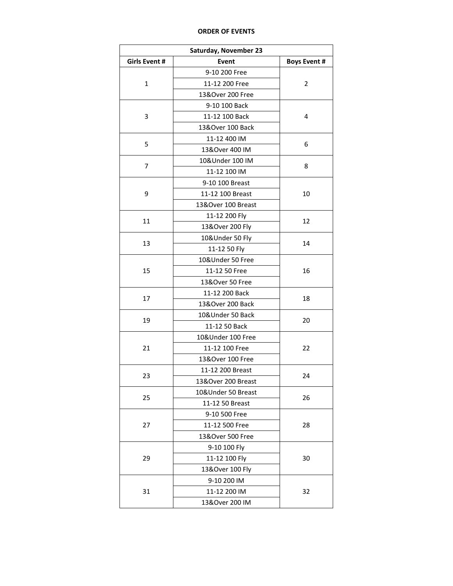### **ORDER OF EVENTS**

| <b>Girls Event #</b><br>Event<br><b>Boys Event #</b><br>9-10 200 Free<br>1<br>11-12 200 Free<br>2<br>13&Over 200 Free<br>9-10 100 Back<br>3<br>11-12 100 Back<br>4<br>13&Over 100 Back<br>11-12 400 IM<br>5<br>6<br>13&Over 400 IM<br>10&Under 100 IM<br>7<br>8<br>11-12 100 IM<br>9-10 100 Breast<br>9<br>11-12 100 Breast<br>10<br>13&Over 100 Breast<br>11-12 200 Fly<br>12<br>11<br>13&Over 200 Fly<br>10&Under 50 Fly<br>13<br>14<br>11-12 50 Fly<br>10&Under 50 Free<br>15<br>11-12 50 Free<br>16<br>13&Over 50 Free<br>11-12 200 Back<br>17<br>18<br>13&Over 200 Back<br>10&Under 50 Back<br>19<br>20<br>11-12 50 Back<br>10&Under 100 Free<br>21<br>11-12 100 Free<br>22<br>13&Over 100 Free<br>11-12 200 Breast<br>23<br>24<br>13&Over 200 Breast<br>10&Under 50 Breast<br>25<br>26<br>11-12 50 Breast<br>9-10 500 Free<br>27<br>11-12 500 Free<br>28<br>13&Over 500 Free<br>9-10 100 Fly<br>11-12 100 Fly<br>29<br>30<br>13&Over 100 Fly<br>9-10 200 IM<br>31<br>11-12 200 IM<br>32 | <b>Saturday, November 23</b> |                |  |  |  |  |  |  |  |
|-----------------------------------------------------------------------------------------------------------------------------------------------------------------------------------------------------------------------------------------------------------------------------------------------------------------------------------------------------------------------------------------------------------------------------------------------------------------------------------------------------------------------------------------------------------------------------------------------------------------------------------------------------------------------------------------------------------------------------------------------------------------------------------------------------------------------------------------------------------------------------------------------------------------------------------------------------------------------------------------------|------------------------------|----------------|--|--|--|--|--|--|--|
|                                                                                                                                                                                                                                                                                                                                                                                                                                                                                                                                                                                                                                                                                                                                                                                                                                                                                                                                                                                               |                              |                |  |  |  |  |  |  |  |
|                                                                                                                                                                                                                                                                                                                                                                                                                                                                                                                                                                                                                                                                                                                                                                                                                                                                                                                                                                                               |                              |                |  |  |  |  |  |  |  |
|                                                                                                                                                                                                                                                                                                                                                                                                                                                                                                                                                                                                                                                                                                                                                                                                                                                                                                                                                                                               |                              |                |  |  |  |  |  |  |  |
|                                                                                                                                                                                                                                                                                                                                                                                                                                                                                                                                                                                                                                                                                                                                                                                                                                                                                                                                                                                               |                              |                |  |  |  |  |  |  |  |
|                                                                                                                                                                                                                                                                                                                                                                                                                                                                                                                                                                                                                                                                                                                                                                                                                                                                                                                                                                                               |                              |                |  |  |  |  |  |  |  |
|                                                                                                                                                                                                                                                                                                                                                                                                                                                                                                                                                                                                                                                                                                                                                                                                                                                                                                                                                                                               |                              |                |  |  |  |  |  |  |  |
|                                                                                                                                                                                                                                                                                                                                                                                                                                                                                                                                                                                                                                                                                                                                                                                                                                                                                                                                                                                               |                              |                |  |  |  |  |  |  |  |
|                                                                                                                                                                                                                                                                                                                                                                                                                                                                                                                                                                                                                                                                                                                                                                                                                                                                                                                                                                                               |                              |                |  |  |  |  |  |  |  |
|                                                                                                                                                                                                                                                                                                                                                                                                                                                                                                                                                                                                                                                                                                                                                                                                                                                                                                                                                                                               |                              |                |  |  |  |  |  |  |  |
|                                                                                                                                                                                                                                                                                                                                                                                                                                                                                                                                                                                                                                                                                                                                                                                                                                                                                                                                                                                               |                              |                |  |  |  |  |  |  |  |
|                                                                                                                                                                                                                                                                                                                                                                                                                                                                                                                                                                                                                                                                                                                                                                                                                                                                                                                                                                                               |                              |                |  |  |  |  |  |  |  |
|                                                                                                                                                                                                                                                                                                                                                                                                                                                                                                                                                                                                                                                                                                                                                                                                                                                                                                                                                                                               |                              |                |  |  |  |  |  |  |  |
|                                                                                                                                                                                                                                                                                                                                                                                                                                                                                                                                                                                                                                                                                                                                                                                                                                                                                                                                                                                               |                              |                |  |  |  |  |  |  |  |
|                                                                                                                                                                                                                                                                                                                                                                                                                                                                                                                                                                                                                                                                                                                                                                                                                                                                                                                                                                                               |                              |                |  |  |  |  |  |  |  |
|                                                                                                                                                                                                                                                                                                                                                                                                                                                                                                                                                                                                                                                                                                                                                                                                                                                                                                                                                                                               |                              |                |  |  |  |  |  |  |  |
|                                                                                                                                                                                                                                                                                                                                                                                                                                                                                                                                                                                                                                                                                                                                                                                                                                                                                                                                                                                               |                              |                |  |  |  |  |  |  |  |
|                                                                                                                                                                                                                                                                                                                                                                                                                                                                                                                                                                                                                                                                                                                                                                                                                                                                                                                                                                                               |                              |                |  |  |  |  |  |  |  |
|                                                                                                                                                                                                                                                                                                                                                                                                                                                                                                                                                                                                                                                                                                                                                                                                                                                                                                                                                                                               |                              |                |  |  |  |  |  |  |  |
|                                                                                                                                                                                                                                                                                                                                                                                                                                                                                                                                                                                                                                                                                                                                                                                                                                                                                                                                                                                               |                              |                |  |  |  |  |  |  |  |
|                                                                                                                                                                                                                                                                                                                                                                                                                                                                                                                                                                                                                                                                                                                                                                                                                                                                                                                                                                                               |                              |                |  |  |  |  |  |  |  |
|                                                                                                                                                                                                                                                                                                                                                                                                                                                                                                                                                                                                                                                                                                                                                                                                                                                                                                                                                                                               |                              |                |  |  |  |  |  |  |  |
|                                                                                                                                                                                                                                                                                                                                                                                                                                                                                                                                                                                                                                                                                                                                                                                                                                                                                                                                                                                               |                              |                |  |  |  |  |  |  |  |
|                                                                                                                                                                                                                                                                                                                                                                                                                                                                                                                                                                                                                                                                                                                                                                                                                                                                                                                                                                                               |                              |                |  |  |  |  |  |  |  |
|                                                                                                                                                                                                                                                                                                                                                                                                                                                                                                                                                                                                                                                                                                                                                                                                                                                                                                                                                                                               |                              |                |  |  |  |  |  |  |  |
|                                                                                                                                                                                                                                                                                                                                                                                                                                                                                                                                                                                                                                                                                                                                                                                                                                                                                                                                                                                               |                              |                |  |  |  |  |  |  |  |
|                                                                                                                                                                                                                                                                                                                                                                                                                                                                                                                                                                                                                                                                                                                                                                                                                                                                                                                                                                                               |                              |                |  |  |  |  |  |  |  |
|                                                                                                                                                                                                                                                                                                                                                                                                                                                                                                                                                                                                                                                                                                                                                                                                                                                                                                                                                                                               |                              |                |  |  |  |  |  |  |  |
|                                                                                                                                                                                                                                                                                                                                                                                                                                                                                                                                                                                                                                                                                                                                                                                                                                                                                                                                                                                               |                              |                |  |  |  |  |  |  |  |
|                                                                                                                                                                                                                                                                                                                                                                                                                                                                                                                                                                                                                                                                                                                                                                                                                                                                                                                                                                                               |                              |                |  |  |  |  |  |  |  |
|                                                                                                                                                                                                                                                                                                                                                                                                                                                                                                                                                                                                                                                                                                                                                                                                                                                                                                                                                                                               |                              |                |  |  |  |  |  |  |  |
|                                                                                                                                                                                                                                                                                                                                                                                                                                                                                                                                                                                                                                                                                                                                                                                                                                                                                                                                                                                               |                              |                |  |  |  |  |  |  |  |
|                                                                                                                                                                                                                                                                                                                                                                                                                                                                                                                                                                                                                                                                                                                                                                                                                                                                                                                                                                                               |                              |                |  |  |  |  |  |  |  |
|                                                                                                                                                                                                                                                                                                                                                                                                                                                                                                                                                                                                                                                                                                                                                                                                                                                                                                                                                                                               |                              |                |  |  |  |  |  |  |  |
|                                                                                                                                                                                                                                                                                                                                                                                                                                                                                                                                                                                                                                                                                                                                                                                                                                                                                                                                                                                               |                              |                |  |  |  |  |  |  |  |
|                                                                                                                                                                                                                                                                                                                                                                                                                                                                                                                                                                                                                                                                                                                                                                                                                                                                                                                                                                                               |                              |                |  |  |  |  |  |  |  |
|                                                                                                                                                                                                                                                                                                                                                                                                                                                                                                                                                                                                                                                                                                                                                                                                                                                                                                                                                                                               |                              |                |  |  |  |  |  |  |  |
|                                                                                                                                                                                                                                                                                                                                                                                                                                                                                                                                                                                                                                                                                                                                                                                                                                                                                                                                                                                               |                              |                |  |  |  |  |  |  |  |
|                                                                                                                                                                                                                                                                                                                                                                                                                                                                                                                                                                                                                                                                                                                                                                                                                                                                                                                                                                                               |                              |                |  |  |  |  |  |  |  |
|                                                                                                                                                                                                                                                                                                                                                                                                                                                                                                                                                                                                                                                                                                                                                                                                                                                                                                                                                                                               |                              |                |  |  |  |  |  |  |  |
|                                                                                                                                                                                                                                                                                                                                                                                                                                                                                                                                                                                                                                                                                                                                                                                                                                                                                                                                                                                               |                              |                |  |  |  |  |  |  |  |
|                                                                                                                                                                                                                                                                                                                                                                                                                                                                                                                                                                                                                                                                                                                                                                                                                                                                                                                                                                                               |                              | 13&Over 200 IM |  |  |  |  |  |  |  |